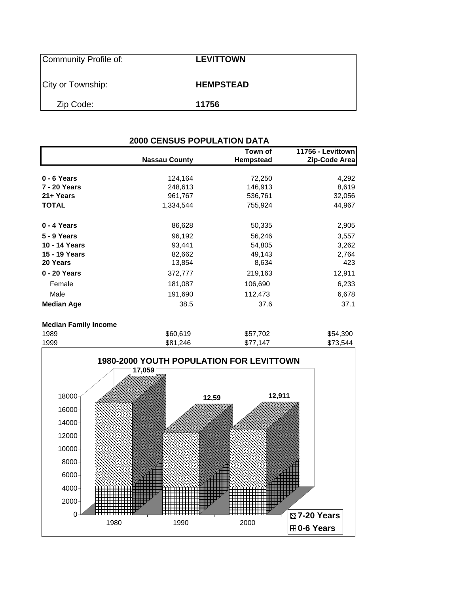| Community Profile of: | <b>LEVITTOWN</b> |
|-----------------------|------------------|
| City or Township:     | <b>HEMPSTEAD</b> |
| Zip Code:             | 11756            |

| <b>2000 CENSUS POPULATION DATA</b> |                      |           |                   |  |  |  |  |
|------------------------------------|----------------------|-----------|-------------------|--|--|--|--|
|                                    |                      | Town of   | 11756 - Levittown |  |  |  |  |
|                                    | <b>Nassau County</b> | Hempstead | Zip-Code Area     |  |  |  |  |
| $0 - 6$ Years                      | 124,164              | 72,250    | 4,292             |  |  |  |  |
| 7 - 20 Years                       | 248,613              | 146,913   | 8,619             |  |  |  |  |
| 21+ Years                          | 961,767              | 536,761   | 32,056            |  |  |  |  |
| <b>TOTAL</b>                       | 1,334,544            | 755,924   | 44,967            |  |  |  |  |
| 0 - 4 Years                        | 86,628               | 50,335    | 2,905             |  |  |  |  |
| 5 - 9 Years                        | 96,192               | 56,246    | 3,557             |  |  |  |  |
| 10 - 14 Years                      | 93,441               | 54,805    | 3,262             |  |  |  |  |
| 15 - 19 Years                      | 82,662               | 49,143    | 2,764             |  |  |  |  |
| 20 Years                           | 13,854               | 8,634     | 423               |  |  |  |  |
| 0 - 20 Years                       | 372,777              | 219,163   | 12,911            |  |  |  |  |
| Female                             | 181,087              | 106,690   | 6,233             |  |  |  |  |
| Male                               | 191,690              | 112,473   | 6,678             |  |  |  |  |
| <b>Median Age</b>                  | 38.5                 | 37.6      | 37.1              |  |  |  |  |
| <b>Median Family Income</b>        |                      |           |                   |  |  |  |  |

| 1989 | \$60,619 | \$57,702 | \$54,390 |
|------|----------|----------|----------|
| 1999 | \$81,246 | \$77,147 | \$73,544 |
|      |          |          |          |

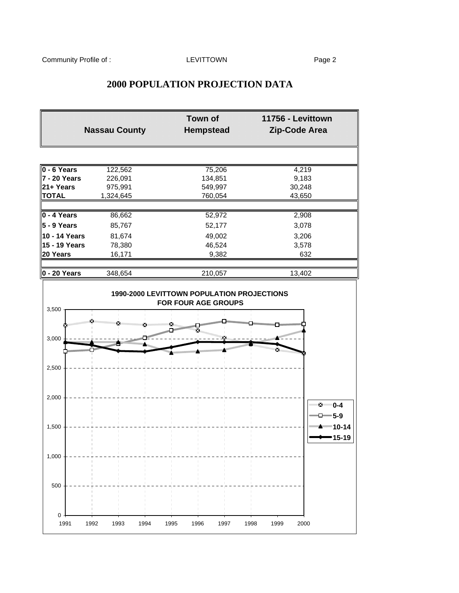## **2000 POPULATION PROJECTION DATA**

|                                                                          | <b>Nassau County</b>                           | <b>Town of</b><br><b>Hempstead</b>                                            | 11756 - Levittown<br>Zip-Code Area      |
|--------------------------------------------------------------------------|------------------------------------------------|-------------------------------------------------------------------------------|-----------------------------------------|
| $0 - 6$ Years<br>7 - 20 Years<br>21+ Years<br><b>TOTAL</b>               | 122,562<br>226,091<br>975,991<br>1,324,645     | 75,206<br>134,851<br>549,997<br>760,054                                       | 4,219<br>9,183<br>30,248<br>43,650      |
| 0 - 4 Years<br>5 - 9 Years<br>10 - 14 Years<br>15 - 19 Years<br>20 Years | 86,662<br>85,767<br>81,674<br>78,380<br>16,171 | 52,972<br>52,177<br>49,002<br>46,524<br>9,382                                 | 2,908<br>3,078<br>3,206<br>3,578<br>632 |
| 0 - 20 Years                                                             | 348,654                                        | 210,057                                                                       | 13,402                                  |
| 3,500<br>3,000                                                           |                                                | 1990-2000 LEVITTOWN POPULATION PROJECTIONS<br><b>FOR FOUR AGE GROUPS</b><br>× | <b>WEIGHTEN</b>                         |
| 2,500                                                                    |                                                | ,,,,,,,,,,,,,,,,<br>,,,,,,,,,,,,,,,,,                                         | ×                                       |
| 2,000                                                                    |                                                |                                                                               | ™ 0-4<br>□━5-9                          |
| 1,500                                                                    |                                                |                                                                               | <b>EXAMPLE 10-14</b><br>15-19           |
| 1,000                                                                    |                                                |                                                                               |                                         |
| 500                                                                      |                                                |                                                                               |                                         |
| $\mathsf 0$<br>1991                                                      | 1992<br>1993<br>1994                           | 1995<br>1996<br>1997                                                          | 1998<br>1999<br>2000                    |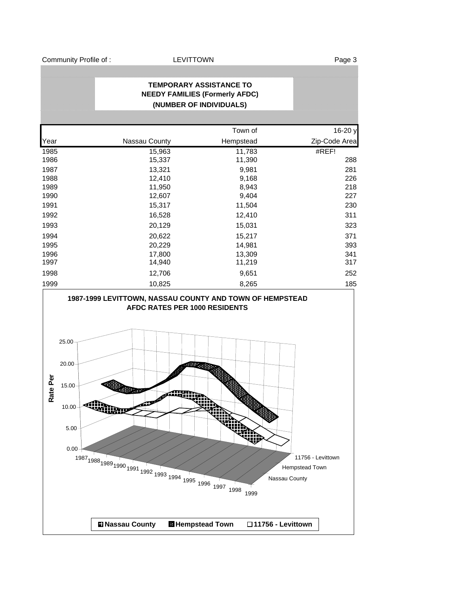Community Profile of : The Community Profile of : The LEVITTOWN Page 3

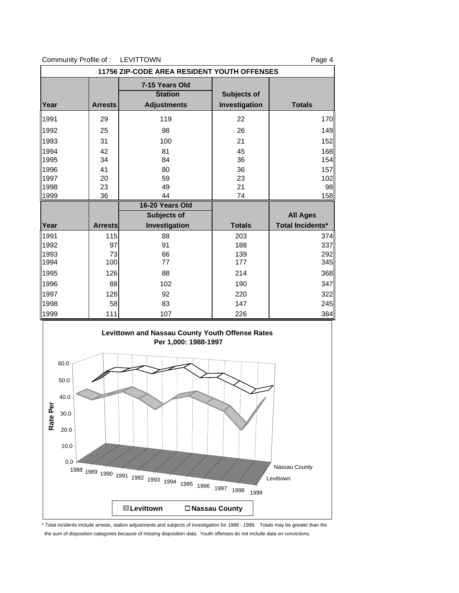| Community Profile of:                |                | <b>LEVITTOWN</b>                                       |                              | Page 4                  |
|--------------------------------------|----------------|--------------------------------------------------------|------------------------------|-------------------------|
|                                      |                | 11756 ZIP-CODE AREA RESIDENT YOUTH OFFENSES            |                              |                         |
| Year                                 | <b>Arrests</b> | 7-15 Years Old<br><b>Station</b><br><b>Adjustments</b> | Subjects of<br>Investigation | <b>Totals</b>           |
| 1991                                 | 29             | 119                                                    | 22                           | 170                     |
| 1992                                 | 25             | 98                                                     | 26                           | 149                     |
| 1993                                 | 31             | 100                                                    | 21                           | 152                     |
| 1994                                 | 42             | 81                                                     | 45                           | 168                     |
| 1995                                 | 34             | 84                                                     | 36                           | 154                     |
| 1996                                 | 41             | 80                                                     | 36                           | 157                     |
| 1997                                 | 20             | 59                                                     | 23                           | 102                     |
| 1998                                 | 23             | 49                                                     | 21                           | 98                      |
| 1999                                 | 36             | 44                                                     | 74                           | 158                     |
|                                      |                | 16-20 Years Old                                        |                              |                         |
|                                      |                | Subjects of                                            |                              | <b>All Ages</b>         |
| Year                                 | <b>Arrests</b> | Investigation                                          | <b>Totals</b>                | <b>Total Incidents*</b> |
| 1991                                 | 115            | 88                                                     | 203                          | 374                     |
| 1992                                 | 97             | 91                                                     | 188                          | 337                     |
| 1993                                 | 73             | 66                                                     | 139                          | 292                     |
| 1994                                 | 100            | 77                                                     | 177                          | 345                     |
|                                      |                |                                                        |                              |                         |
|                                      | 126            | 88                                                     | 214                          | 368                     |
|                                      | 88             | 102                                                    | 190                          | 347                     |
|                                      | 128            | 92                                                     | 220                          |                         |
|                                      | 58             | 83                                                     | 147                          | 245                     |
| 1995<br>1996<br>1997<br>1998<br>1999 | 111            | 107                                                    | 226                          | 322<br>384              |



\* Total incidents include arrests, station adjustments and subjects of investigation for 1988 - 1999. Totals may be greater than the the sum of disposition categories because of missing disposition data. Youth offenses do not include data on convictions.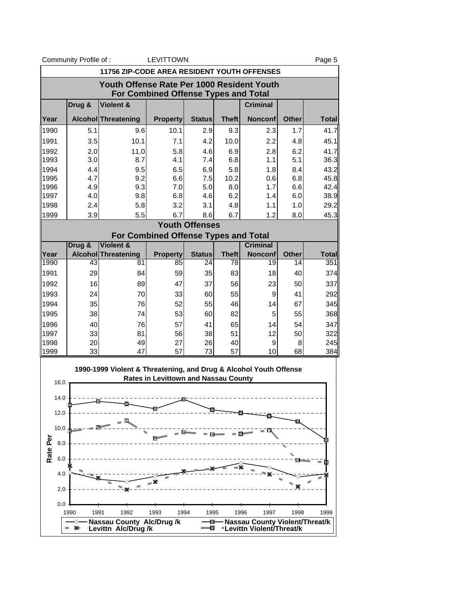|              |                                            | Community Profile of: |                                                                   | <b>LEVITTOWN</b>                            |                       |              |                                                             |              | Page 5       |
|--------------|--------------------------------------------|-----------------------|-------------------------------------------------------------------|---------------------------------------------|-----------------------|--------------|-------------------------------------------------------------|--------------|--------------|
|              |                                            |                       | <b>11756 ZIP-CODE AREA RESIDENT YOUTH OFFENSES</b>                |                                             |                       |              |                                                             |              |              |
|              | Youth Offense Rate Per 1000 Resident Youth |                       |                                                                   |                                             |                       |              |                                                             |              |              |
|              |                                            |                       |                                                                   | <b>For Combined Offense Types and Total</b> |                       |              |                                                             |              |              |
|              |                                            | Drug &                | Violent &                                                         |                                             |                       |              | <b>Criminal</b>                                             |              |              |
| Year         |                                            |                       | Alcohol Threatening                                               | <b>Property</b>                             | <b>Status</b>         | <b>Theft</b> | <b>Nonconf</b>                                              | <b>Other</b> | <b>Total</b> |
| 1990         |                                            | 5.1                   | 9.6                                                               | 10.1                                        | 2.9                   | 9.3          | 2.3                                                         | 1.7          | 41.7         |
| 1991         |                                            | 3.5                   | 10.1                                                              | 7.1                                         | 4.2                   | 10.0         | 2.2                                                         | 4.8          | 45.1         |
| 1992         |                                            | 2.0                   | 11.0                                                              | 5.8                                         | 4.6                   | 6.9          | 2.8                                                         | 6.2          | 41.7         |
| 1993         |                                            | 3.0                   | 8.7                                                               | 4.1                                         | 7.4                   | 6.8          | 1.1                                                         | 5.1          | 36.3         |
| 1994<br>1995 |                                            | 4.4<br>4.7            | 9.5<br>9.2                                                        | 6.5<br>6.6                                  | 6.9<br>7.5            | 5.8<br>10.2  | 1.8<br>0.6                                                  | 8.4<br>6.8   | 43.2<br>45.8 |
| 1996         |                                            | 4.9                   | 9.3                                                               | 7.0                                         | 5.0                   | 8.0          | 1.7                                                         | 6.6          | 42.4         |
| 1997         |                                            | 4.0                   | 9.8                                                               | 6.8                                         | 4.6                   | 6.2          | 1.4                                                         | 6.0          | 38.9         |
| 1998         |                                            | 2.4                   | 5.8                                                               | 3.2                                         | 3.1                   | 4.8          | 1.1                                                         | 1.0          | 29.2         |
| 1999         |                                            | 3.9                   | 5.5                                                               | 6.7                                         | 8.6                   | 6.7          | 1.2                                                         | 8.0          | 45.3         |
|              |                                            |                       |                                                                   |                                             | <b>Youth Offenses</b> |              |                                                             |              |              |
|              |                                            |                       | <b>Violent &amp;</b>                                              | For Combined Offense Types and Total        |                       |              | <b>Criminal</b>                                             |              |              |
| Year         |                                            | Drug &                | Alcohol Threatening                                               | <b>Property</b>                             | <b>Status</b>         | <b>Theft</b> | <b>Nonconf</b>                                              | <b>Other</b> | <b>Total</b> |
| 1990         |                                            | 43                    | 81                                                                | 85                                          | 24                    | 78           | 19                                                          | 14           | 351          |
| 1991         |                                            | 29                    |                                                                   | 59<br>84                                    | 35                    | 83           | 18                                                          | 40           | 374          |
| 1992         |                                            | 16                    |                                                                   | 47<br>89                                    | 37                    | 56           | 23                                                          | 50           | 337          |
| 1993         |                                            | 24                    |                                                                   | 70<br>33                                    | 60                    | 55           | 9                                                           | 41           | 292          |
| 1994         |                                            | 35                    |                                                                   | 76<br>52                                    | 55                    | 46           | 14                                                          | 67           | 345          |
| 1995         |                                            | 38                    |                                                                   | 74<br>53                                    | 60                    | 82           | 5                                                           | 55           | 368          |
| 1996         |                                            | 40                    |                                                                   | 76<br>57                                    | 41                    | 65           | 14                                                          | 54           | 347          |
| 1997         |                                            | 33                    | 81                                                                | 56                                          | 38                    | 51           | 12                                                          | 50           | 322          |
| 1998<br>1999 |                                            | 20<br>33              |                                                                   | 49<br>27<br>47<br>57                        | 26<br>73              | 40<br>57     | 9<br>10                                                     | 8<br>68      | 245<br>384   |
|              |                                            |                       |                                                                   |                                             |                       |              |                                                             |              |              |
|              |                                            |                       | 1990-1999 Violent & Threatening, and Drug & Alcohol Youth Offense |                                             |                       |              |                                                             |              |              |
|              | 16.0                                       |                       |                                                                   | <b>Rates in Levittown and Nassau County</b> |                       |              |                                                             |              |              |
|              | 14.0                                       |                       |                                                                   |                                             |                       |              |                                                             |              |              |
|              |                                            |                       |                                                                   |                                             |                       |              |                                                             |              |              |
|              | 12.0                                       |                       |                                                                   |                                             |                       |              |                                                             |              |              |
|              | 10.0                                       |                       |                                                                   |                                             |                       |              |                                                             |              |              |
|              |                                            |                       |                                                                   | m                                           |                       |              |                                                             |              |              |
| Rate Per     | 8.0                                        |                       |                                                                   |                                             |                       |              |                                                             |              |              |
|              | 6.0                                        |                       |                                                                   |                                             |                       |              |                                                             |              |              |
|              |                                            |                       |                                                                   |                                             |                       |              |                                                             |              |              |
|              | 4.0                                        |                       |                                                                   |                                             |                       |              |                                                             |              |              |
|              | 2.0                                        |                       |                                                                   |                                             |                       |              |                                                             |              |              |
|              | 0.0                                        |                       |                                                                   |                                             |                       |              |                                                             |              |              |
|              |                                            | 1990                  | 1992<br>1991                                                      | 1993                                        | 1994<br>1995          |              | 1997<br>1996                                                | 1998         | 1999         |
|              |                                            | ×                     | Nassau County Alc/Drug/k                                          |                                             | o<br>е                |              | Nassau County Violent/Threat/k<br>"Levittn Violent/Threat/k |              |              |
|              |                                            |                       | Levittn Alc/Drug/k                                                |                                             |                       |              |                                                             |              |              |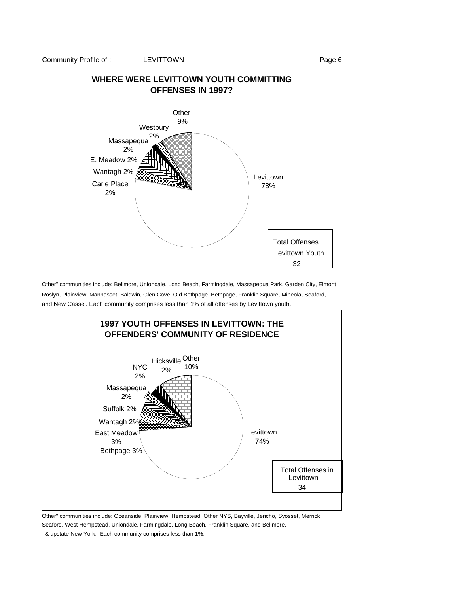

Other" communities include: Bellmore, Uniondale, Long Beach, Farmingdale, Massapequa Park, Garden City, Elmont Roslyn, Plainview, Manhasset, Baldwin, Glen Cove, Old Bethpage, Bethpage, Franklin Square, Mineola, Seaford, and New Cassel. Each community comprises less than 1% of all offenses by Levittown youth.



Other" communities include: Oceanside, Plainview, Hempstead, Other NYS, Bayville, Jericho, Syosset, Merrick Seaford, West Hempstead, Uniondale, Farmingdale, Long Beach, Franklin Square, and Bellmore,

& upstate New York. Each community comprises less than 1%.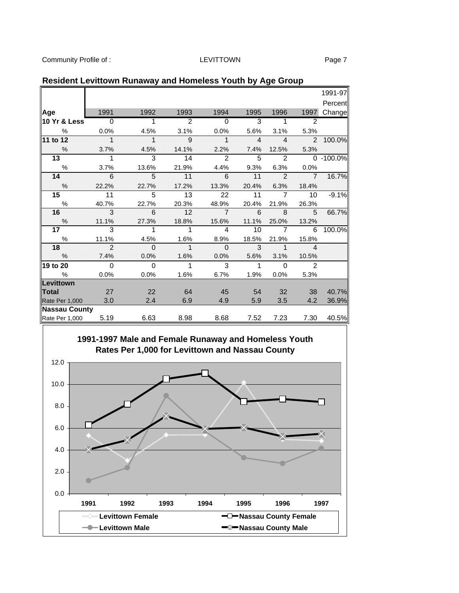Community Profile of : Community Profile of : Community Profile of : Community Page 7

|                      |                          |                |                 |                |                |                            |                | 1991-97   |
|----------------------|--------------------------|----------------|-----------------|----------------|----------------|----------------------------|----------------|-----------|
|                      |                          |                |                 |                |                |                            |                | Percent   |
| Age                  | 1991                     | 1992           | 1993            | 1994           | 1995           | 1996                       | 1997           | Change    |
| 10 Yr & Less         | $\overline{0}$           | $\mathbf{1}$   | $\overline{2}$  | $\Omega$       | 3              | 1                          | 2              |           |
| $\%$                 | 0.0%                     | 4.5%           | 3.1%            | 0.0%           | 5.6%           | 3.1%                       | 5.3%           |           |
| 11 to 12             | $\overline{\phantom{a}}$ | $\overline{1}$ | 9               | $\mathbf{1}$   | $\overline{4}$ | $\overline{4}$             |                | 2 100.0%  |
| $\frac{0}{6}$        | 3.7%                     | 4.5%           | 14.1%           | 2.2%           | 7.4%           | 12.5%                      | 5.3%           |           |
| $\overline{13}$      | 1                        | $\overline{3}$ | $\overline{14}$ | $\mathcal{P}$  | 5              | 2                          |                | 0 -100.0% |
| %                    | 3.7%                     | 13.6%          | 21.9%           | 4.4%           | 9.3%           | 6.3%                       | 0.0%           |           |
| 14                   | 6                        | 5              | 11              | 6              | 11             | $\overline{\phantom{a}}$ 2 | $\overline{7}$ | 16.7%     |
| $\frac{0}{6}$        | 22.2%                    | 22.7%          | 17.2%           | 13.3%          | 20.4%          | 6.3%                       | 18.4%          |           |
| 15                   | 11                       | 5              | 13              | 22             | 11             | $\overline{7}$             | 10             | $-9.1%$   |
| $\%$                 | 40.7%                    | 22.7%          | 20.3%           | 48.9%          | 20.4%          | 21.9%                      | 26.3%          |           |
| 16                   | 3                        | 6              | 12              | $\overline{7}$ | 6              | 8                          | 5              | 66.7%     |
| $\%$                 | 11.1%                    | 27.3%          | 18.8%           | 15.6%          | 11.1%          | 25.0%                      | 13.2%          |           |
| 17 <sub>1</sub>      | $\overline{3}$           | $\mathbf{1}$   | 1               | 4              | 10             | $\overline{7}$             | 6              | 100.0%    |
| $\%$                 | 11.1%                    | 4.5%           | 1.6%            | 8.9%           | 18.5%          | 21.9%                      | 15.8%          |           |
| 18                   | $\overline{2}$           | $\Omega$       | $\mathbf{1}$    | $\Omega$       | 3              | $\mathbf 1$                | $\overline{4}$ |           |
| $\frac{0}{6}$        | 7.4%                     | 0.0%           | 1.6%            | 0.0%           | 5.6%           | 3.1%                       | 10.5%          |           |
| 19 to 20             | $\Omega$                 | $\Omega$       | $\mathbf{1}$    | 3              | $\mathbf{1}$   | $\Omega$                   | $\mathcal{P}$  |           |
| %                    | 0.0%                     | 0.0%           | 1.6%            | 6.7%           | 1.9%           | 0.0%                       | 5.3%           |           |
| Levittown            |                          |                |                 |                |                |                            |                |           |
| Total                | 27                       | 22             | 64              | 45             | 54             | 32 <sup>2</sup>            | 38             | 40.7%     |
| Rate Per 1,000       | 3.0                      | 2.4            | 6.9             | 4.9            | 5.9            | 3.5                        | 4.2            | 36.9%     |
| <b>Nassau County</b> |                          |                |                 |                |                |                            |                |           |
| Rate Per 1,000       | 5.19                     | 6.63           | 8.98            | 8.68           | 7.52           | 7.23                       | 7.30           | 40.5%     |

### **Resident Levittown Runaway and Homeless Youth by Age Group**

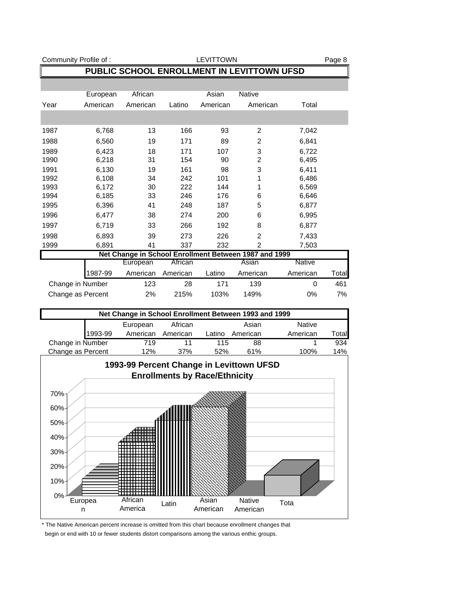| Community Profile of: |                |                                                       |                                      | <b>LEVITTOWN</b> |                     |                | Page 8 |
|-----------------------|----------------|-------------------------------------------------------|--------------------------------------|------------------|---------------------|----------------|--------|
|                       |                | PUBLIC SCHOOL ENROLLMENT IN LEVITTOWN UFSD            |                                      |                  |                     |                |        |
|                       | European       | African                                               |                                      | Asian            | Native              |                |        |
| Year                  | American       | American                                              | Latino                               | American         | American            | Total          |        |
|                       |                |                                                       |                                      |                  |                     |                |        |
|                       |                |                                                       |                                      |                  |                     |                |        |
| 1987                  | 6,768          | 13                                                    | 166                                  | 93               | 2                   | 7,042          |        |
| 1988                  | 6,560          | 19                                                    | 171                                  | 89               | $\overline{2}$      | 6,841          |        |
| 1989                  | 6,423          | 18                                                    | 171                                  | 107              | 3                   | 6,722          |        |
| 1990                  | 6,218          | 31                                                    | 154                                  | 90               | $\overline{c}$      | 6,495          |        |
| 1991                  | 6,130          | 19                                                    | 161                                  | 98               | 3                   | 6,411          |        |
| 1992                  | 6,108          | 34                                                    | 242                                  | 101              | 1                   | 6,486          |        |
| 1993<br>1994          | 6,172<br>6,185 | 30<br>33                                              | 222<br>246                           | 144<br>176       | 1<br>6              | 6,569          |        |
| 1995                  | 6,396          | 41                                                    | 248                                  | 187              | 5                   | 6,646<br>6,877 |        |
| 1996                  | 6,477          | 38                                                    | 274                                  | 200              | 6                   | 6,995          |        |
| 1997                  | 6,719          | 33                                                    | 266                                  | 192              | 8                   | 6,877          |        |
|                       |                |                                                       |                                      |                  |                     |                |        |
| 1998<br>1999          | 6,893<br>6,891 | 39<br>41                                              | 273<br>337                           | 226<br>232       | 2<br>$\overline{2}$ | 7,433<br>7,503 |        |
|                       |                | Net Change in School Enrollment Between 1987 and 1999 |                                      |                  |                     |                |        |
|                       |                | European                                              | African                              |                  | Asian               | <b>Native</b>  |        |
|                       | 1987-99        | American                                              | American                             | Latino           | American            | American       | Total  |
| Change in Number      |                | 123                                                   | 28                                   | 171              | 139                 | 0              | 461    |
| Change as Percent     |                | 2%                                                    | 215%                                 | 103%             | 149%                | 0%             | 7%     |
|                       |                |                                                       |                                      |                  |                     |                |        |
|                       |                | Net Change in School Enrollment Between 1993 and 1999 |                                      |                  |                     |                |        |
|                       |                | European                                              | African                              |                  | Asian               | <b>Native</b>  |        |
|                       | 1993-99        | American                                              | American                             | Latino           | American            | American       | Total  |
| Change in Number      |                | 719                                                   | 11                                   | 115              | 88                  | 1              | 934    |
| Change as Percent     |                | 12%                                                   | 37%                                  | 52%              | 61%                 | 100%           | 14%    |
|                       |                | 1993-99 Percent Change in Levittown UFSD              |                                      |                  |                     |                |        |
|                       |                |                                                       | <b>Enrollments by Race/Ethnicity</b> |                  |                     |                |        |
|                       |                |                                                       |                                      |                  |                     |                |        |
| 70%                   |                |                                                       |                                      |                  |                     |                |        |
| 60%                   |                |                                                       |                                      |                  |                     |                |        |
|                       |                |                                                       |                                      |                  |                     |                |        |
| 50%                   |                |                                                       |                                      |                  |                     |                |        |
| 40%                   |                |                                                       |                                      |                  |                     |                |        |
| 30%                   |                |                                                       |                                      |                  |                     |                |        |
| 20%                   |                |                                                       |                                      |                  |                     |                |        |
| 10%                   |                |                                                       |                                      |                  |                     |                |        |
| 0%                    |                |                                                       |                                      |                  |                     |                |        |

\* The Native American percent increase is omitted from this chart because enrollment changes that begin or end with 10 or fewer students distort comparisons among the various enthic groups.

America Latin Native American

Asian

American

Tota

African

**Europea** n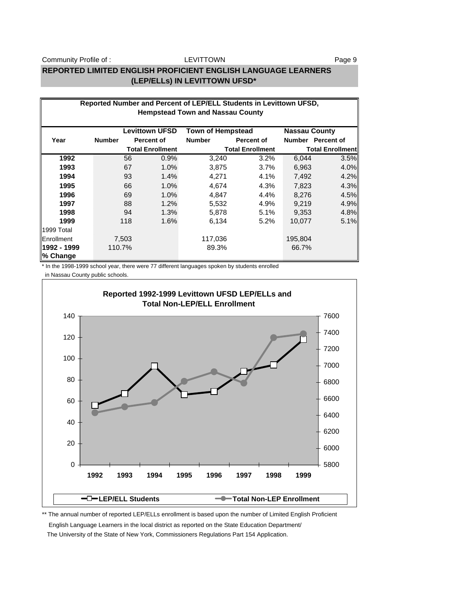Community Profile of : The Magnus LEVITTOWN Community Profile of : Page 9

#### LEVITTOWN

## **REPORTED LIMITED ENGLISH PROFICIENT ENGLISH LANGUAGE LEARNERS (LEP/ELLs) IN LEVITTOWN UFSD\***

|                         | Reported Number and Percent of LEP/ELL Students in Levittown UFSD,<br><b>Hempstead Town and Nassau County</b> |       |                         |                          |                         |                      |                         |  |
|-------------------------|---------------------------------------------------------------------------------------------------------------|-------|-------------------------|--------------------------|-------------------------|----------------------|-------------------------|--|
|                         |                                                                                                               |       |                         |                          |                         |                      |                         |  |
|                         |                                                                                                               |       | <b>Levittown UFSD</b>   | <b>Town of Hempstead</b> |                         | <b>Nassau County</b> |                         |  |
| Year                    | <b>Number</b>                                                                                                 |       | Percent of              | <b>Number</b>            | <b>Percent of</b>       |                      | Number Percent of       |  |
|                         |                                                                                                               |       | <b>Total Enrollment</b> |                          | <b>Total Enrollment</b> |                      | <b>Total Enrollment</b> |  |
| 1992                    |                                                                                                               | 56    | 0.9%                    | 3,240                    | 3.2%                    | 6,044                | 3.5%                    |  |
| 1993                    |                                                                                                               | 67    | 1.0%                    | 3,875                    | 3.7%                    | 6,963                | 4.0%                    |  |
| 1994                    |                                                                                                               | 93    | 1.4%                    | 4,271                    | 4.1%                    | 7,492                | 4.2%                    |  |
| 1995                    |                                                                                                               | 66    | 1.0%                    | 4,674                    | 4.3%                    | 7,823                | 4.3%                    |  |
| 1996                    |                                                                                                               | 69    | 1.0%                    | 4,847                    | 4.4%                    | 8,276                | 4.5%                    |  |
| 1997                    |                                                                                                               | 88    | 1.2%                    | 5,532                    | 4.9%                    | 9,219                | 4.9%                    |  |
| 1998                    |                                                                                                               | 94    | 1.3%                    | 5,878                    | 5.1%                    | 9,353                | 4.8%                    |  |
| 1999                    |                                                                                                               | 118   | 1.6%                    | 6,134                    | $5.2\%$                 | 10.077               | 5.1%                    |  |
| 1999 Total              |                                                                                                               |       |                         |                          |                         |                      |                         |  |
| Enrollment              |                                                                                                               | 7,503 |                         | 117,036                  |                         | 195,804              |                         |  |
| 1992 - 1999<br>% Change | 110.7%                                                                                                        |       |                         | 89.3%                    |                         | 66.7%                |                         |  |

\* In the 1998-1999 school year, there were 77 different languages spoken by students enrolled

in Nassau County public schools.



\*\* The annual number of reported LEP/ELLs enrollment is based upon the number of Limited English Proficient

 English Language Learners in the local district as reported on the State Education Department/ The University of the State of New York, Commissioners Regulations Part 154 Application.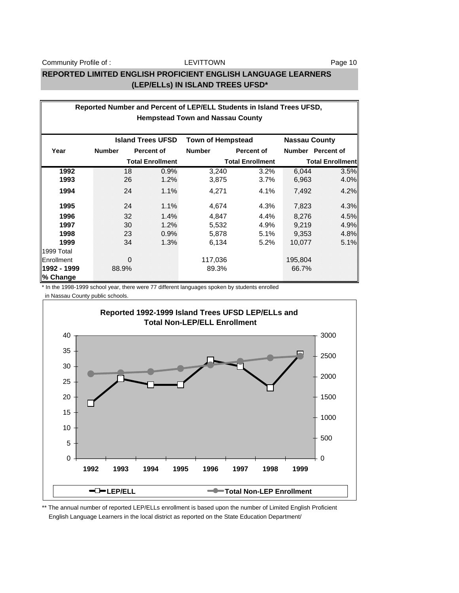#### LEVITTOWN

#### **REPORTED LIMITED ENGLISH PROFICIENT ENGLISH LANGUAGE LEARNERS (LEP/ELLs) IN ISLAND TREES UFSD\***

|                   | Reported Number and Percent of LEP/ELL Students in Island Trees UFSD, |          |                          |                                         |                         |                      |                         |  |
|-------------------|-----------------------------------------------------------------------|----------|--------------------------|-----------------------------------------|-------------------------|----------------------|-------------------------|--|
|                   |                                                                       |          |                          | <b>Hempstead Town and Nassau County</b> |                         |                      |                         |  |
|                   |                                                                       |          |                          |                                         |                         |                      |                         |  |
|                   |                                                                       |          | <b>Island Trees UFSD</b> | <b>Town of Hempstead</b>                |                         | <b>Nassau County</b> |                         |  |
| Year              | <b>Number</b>                                                         |          | <b>Percent of</b>        | <b>Number</b>                           | <b>Percent of</b>       |                      | Number Percent of       |  |
|                   |                                                                       |          | <b>Total Enrollment</b>  |                                         | <b>Total Enrollment</b> |                      | <b>Total Enrollment</b> |  |
| 1992              |                                                                       | 18       | 0.9%                     | 3,240                                   | 3.2%                    | 6,044                | 3.5%                    |  |
| 1993              |                                                                       | 26       | 1.2%                     | 3,875                                   | 3.7%                    | 6,963                | 4.0%                    |  |
| 1994              |                                                                       | 24       | 1.1%                     | 4,271                                   | 4.1%                    | 7,492                | 4.2%                    |  |
| 1995              |                                                                       | 24       | 1.1%                     | 4,674                                   | 4.3%                    | 7,823                | 4.3%                    |  |
| 1996              |                                                                       | 32       | 1.4%                     | 4,847                                   | 4.4%                    | 8,276                | 4.5%                    |  |
| 1997              |                                                                       | 30       | 1.2%                     | 5,532                                   | 4.9%                    | 9,219                | 4.9%                    |  |
| 1998              |                                                                       | 23       | 0.9%                     | 5,878                                   | 5.1%                    | 9,353                | 4.8%                    |  |
| 1999              |                                                                       | 34       | 1.3%                     | 6,134                                   | 5.2%                    | 10,077               | 5.1%                    |  |
| 1999 Total        |                                                                       |          |                          |                                         |                         |                      |                         |  |
| <b>Enrollment</b> |                                                                       | $\Omega$ |                          | 117,036                                 |                         | 195,804              |                         |  |
| 11992 - 1999      |                                                                       | 88.9%    |                          | 89.3%                                   |                         | 66.7%                |                         |  |
| ∥% Change         |                                                                       |          |                          |                                         |                         |                      |                         |  |

\* In the 1998-1999 school year, there were 77 different languages spoken by students enrolled

in Nassau County public schools.



\*\* The annual number of reported LEP/ELLs enrollment is based upon the number of Limited English Proficient English Language Learners in the local district as reported on the State Education Department/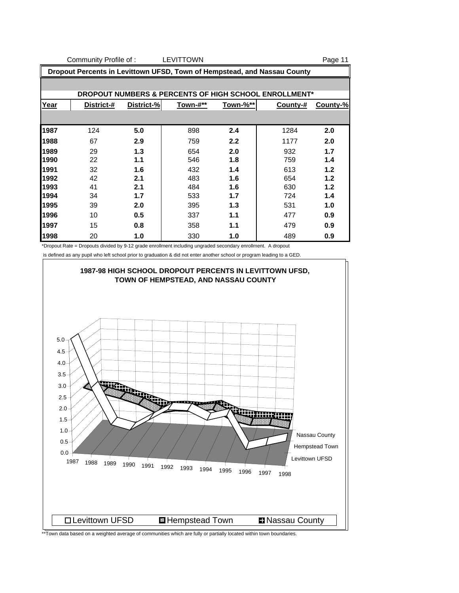|                                                                          | Community Profile of : |            | <b>LEVITTOWN</b> |          |                                                       | Page 11  |
|--------------------------------------------------------------------------|------------------------|------------|------------------|----------|-------------------------------------------------------|----------|
| Dropout Percents in Levittown UFSD, Town of Hempstead, and Nassau County |                        |            |                  |          |                                                       |          |
|                                                                          |                        |            |                  |          |                                                       |          |
|                                                                          |                        |            |                  |          | DROPOUT NUMBERS & PERCENTS OF HIGH SCHOOL ENROLLMENT* |          |
| <u>Year</u>                                                              | District-#             | District-% | Town-#**         | Town-%** | County-#                                              | County-% |
|                                                                          |                        |            |                  |          |                                                       |          |
| 1987                                                                     | 124                    | 5.0        | 898              | 2.4      | 1284                                                  | 2.0      |
| 1988                                                                     | 67                     | 2.9        | 759              | 2.2      | 1177                                                  | 2.0      |
| 1989                                                                     | 29                     | 1.3        | 654              | 2.0      | 932                                                   | 1.7      |
| 1990                                                                     | 22                     | 1.1        | 546              | 1.8      | 759                                                   | 1.4      |

 32 **1.6** 432 **1.4** 613 **1.2** 42 **2.1** 483 **1.6** 654 **1.2** 41 **2.1** 484 **1.6** 630 **1.2** 34 **1.7** 533 **1.7** 724 **1.4** 39 **2.0** 395 **1.3** 531 **1.0** 10 **0.5** 337 **1.1** 477 **0.9** 15 **0.8** 358 **1.1** 479 **0.9** 20 **1.0** 330 **1.0** 489 **0.9**

\*Dropout Rate = Dropouts divided by 9-12 grade enrollment including ungraded secondary enrollment. A dropout

is defined as any pupil who left school prior to graduation & did not enter another school or program leading to a GED.



\*\*Town data based on a weighted average of communities which are fully or partially located within town boundaries.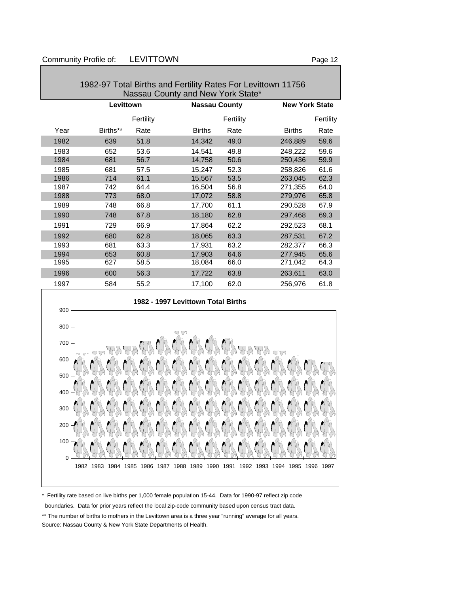1982-97 Total Births and Fertility Rates For Levittown 11756 Nassau County and New York State\* Levittown **Nassau County** New York State Fertility **Fertility Fertility Fertility Fertility** Year Births\*\* Rate Births Rate Births Rate 1982 639 51.8 14,342 49.0 246,889 59.6 1983 652 53.6 14,541 49.8 248,222 59.6 1984 681 56.7 14,758 50.6 250,436 59.9 1985 681 57.5 15,247 52.3 258,826 61.6 1986 714 61.1 15,567 53.5 263,045 62.3 1987 742 64.4 16,504 56.8 271,355 64.0 1988 773 68.0 17,072 58.8 279,976 65.8 1989 748 66.8 17,700 61.1 290,528 67.9 1990 748 67.8 18,180 62.8 297,468 69.3 1991 729 66.9 17,864 62.2 292,523 68.1 1992 680 62.8 18,065 63.3 287,531 67.2 1993 681 63.3 17,931 63.2 282,377 66.3 1994 653 60.8 17,903 64.6 277,945 65.6 1995 627 58.5 18,084 66.0 271,042 64.3 1996 600 56.3 17,722 63.8 263,611 63.0 1997 584 55.2 17,100 62.0 256,976 61.8



\* Fertility rate based on live births per 1,000 female population 15-44. Data for 1990-97 reflect zip code boundaries. Data for prior years reflect the local zip-code community based upon census tract data.

\*\* The number of births to mothers in the Levittown area is a three year "running" average for all years. Source: Nassau County & New York State Departments of Health.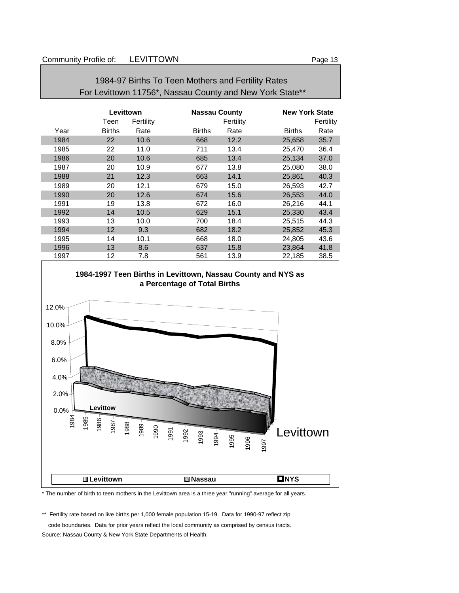## 1984-97 Births To Teen Mothers and Fertility Rates For Levittown 11756\*, Nassau County and New York State\*\*

|      | Levittown     |           | <b>Nassau County</b> |           | <b>New York State</b> |           |
|------|---------------|-----------|----------------------|-----------|-----------------------|-----------|
|      | Teen          | Fertility |                      | Fertility |                       | Fertility |
| Year | <b>Births</b> | Rate      | <b>Births</b>        | Rate      | <b>Births</b>         | Rate      |
| 1984 | 22            | 10.6      | 668                  | 12.2      | 25,658                | 35.7      |
| 1985 | 22            | 11.0      | 711                  | 13.4      | 25,470                | 36.4      |
| 1986 | 20            | 10.6      | 685                  | 13.4      | 25,134                | 37.0      |
| 1987 | 20            | 10.9      | 677                  | 13.8      | 25,080                | 38.0      |
| 1988 | 21            | 12.3      | 663                  | 14.1      | 25,861                | 40.3      |
| 1989 | 20            | 12.1      | 679                  | 15.0      | 26,593                | 42.7      |
| 1990 | 20            | 12.6      | 674                  | 15.6      | 26.553                | 44.0      |
| 1991 | 19            | 13.8      | 672                  | 16.0      | 26,216                | 44.1      |
| 1992 | 14            | 10.5      | 629                  | 15.1      | 25,330                | 43.4      |
| 1993 | 13            | 10.0      | 700                  | 18.4      | 25,515                | 44.3      |
| 1994 | 12            | 9.3       | 682                  | 18.2      | 25,852                | 45.3      |
| 1995 | 14            | 10.1      | 668                  | 18.0      | 24,805                | 43.6      |
| 1996 | 13            | 8.6       | 637                  | 15.8      | 23,864                | 41.8      |
| 1997 | 12            | 7.8       | 561                  | 13.9      | 22,185                | 38.5      |



\* The number of birth to teen mothers in the Levittown area is a three year "running" average for all years.

\*\* Fertility rate based on live births per 1,000 female population 15-19. Data for 1990-97 reflect zip

code boundaries. Data for prior years reflect the local community as comprised by census tracts.